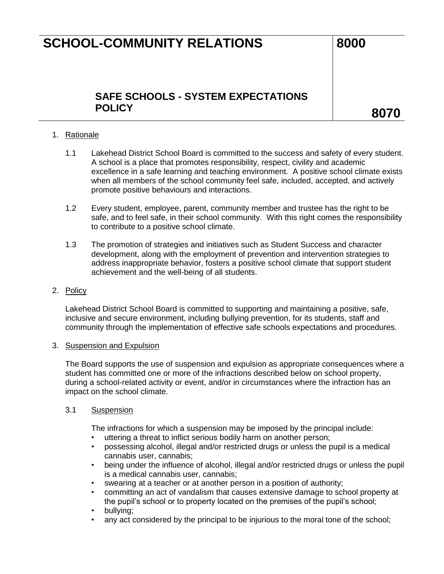# **SCHOOL-COMMUNITY RELATIONS 8000**

### **SAFE SCHOOLS - SYSTEM EXPECTATIONS POLICY 8070**

### 1. Rationale

- 1.1 Lakehead District School Board is committed to the success and safety of every student. A school is a place that promotes responsibility, respect, civility and academic excellence in a safe learning and teaching environment. A positive school climate exists when all members of the school community feel safe, included, accepted, and actively promote positive behaviours and interactions.
- 1.2 Every student, employee, parent, community member and trustee has the right to be safe, and to feel safe, in their school community. With this right comes the responsibility to contribute to a positive school climate.
- 1.3 The promotion of strategies and initiatives such as Student Success and character development, along with the employment of prevention and intervention strategies to address inappropriate behavior, fosters a positive school climate that support student achievement and the well-being of all students.

#### 2. Policy

Lakehead District School Board is committed to supporting and maintaining a positive, safe, inclusive and secure environment, including bullying prevention, for its students, staff and community through the implementation of effective safe schools expectations and procedures.

#### 3. Suspension and Expulsion

The Board supports the use of suspension and expulsion as appropriate consequences where a student has committed one or more of the infractions described below on school property, during a school-related activity or event, and/or in circumstances where the infraction has an impact on the school climate.

#### 3.1 Suspension

The infractions for which a suspension may be imposed by the principal include:

- uttering a threat to inflict serious bodily harm on another person;
- possessing alcohol, illegal and/or restricted drugs or unless the pupil is a medical cannabis user, cannabis;
- being under the influence of alcohol, illegal and/or restricted drugs or unless the pupil is a medical cannabis user, cannabis;
- swearing at a teacher or at another person in a position of authority;
- committing an act of vandalism that causes extensive damage to school property at the pupil's school or to property located on the premises of the pupil's school;
- bullying;
- any act considered by the principal to be injurious to the moral tone of the school;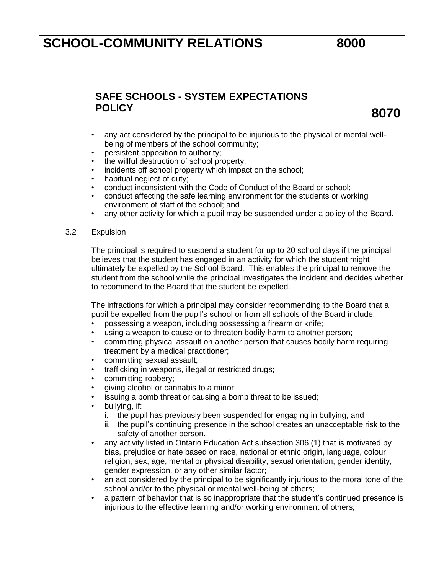# **SCHOOL-COMMUNITY RELATIONS** 8000

## **SAFE SCHOOLS - SYSTEM EXPECTATIONS POLICY 8070**

- any act considered by the principal to be injurious to the physical or mental wellbeing of members of the school community;
- persistent opposition to authority;
- the willful destruction of school property;
- incidents off school property which impact on the school;
- habitual neglect of duty;
- conduct inconsistent with the Code of Conduct of the Board or school;
- conduct affecting the safe learning environment for the students or working environment of staff of the school; and
- any other activity for which a pupil may be suspended under a policy of the Board.

#### 3.2 Expulsion

The principal is required to suspend a student for up to 20 school days if the principal believes that the student has engaged in an activity for which the student might ultimately be expelled by the School Board. This enables the principal to remove the student from the school while the principal investigates the incident and decides whether to recommend to the Board that the student be expelled.

The infractions for which a principal may consider recommending to the Board that a pupil be expelled from the pupil's school or from all schools of the Board include:

- possessing a weapon, including possessing a firearm or knife;
- using a weapon to cause or to threaten bodily harm to another person;
- committing physical assault on another person that causes bodily harm requiring treatment by a medical practitioner;
- committing sexual assault;
- trafficking in weapons, illegal or restricted drugs;
- committing robbery;
- giving alcohol or cannabis to a minor;
- issuing a bomb threat or causing a bomb threat to be issued;
- bullying, if:
	- i. the pupil has previously been suspended for engaging in bullying, and
	- ii. the pupil's continuing presence in the school creates an unacceptable risk to the safety of another person.
- any activity listed in Ontario Education Act subsection 306 (1) that is motivated by bias, prejudice or hate based on race, national or ethnic origin, language, colour, religion, sex, age, mental or physical disability, sexual orientation, gender identity, gender expression, or any other similar factor;
- an act considered by the principal to be significantly injurious to the moral tone of the school and/or to the physical or mental well-being of others;
- a pattern of behavior that is so inappropriate that the student's continued presence is injurious to the effective learning and/or working environment of others;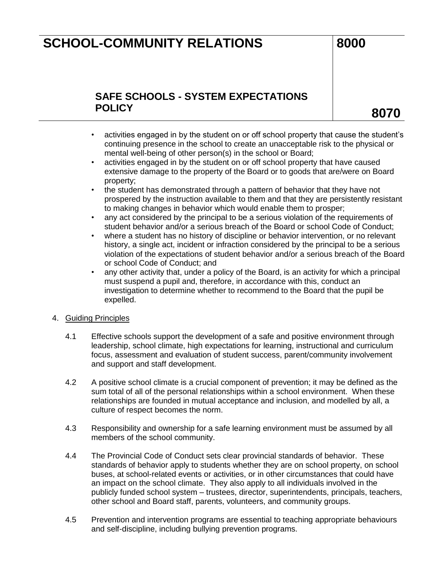# **SCHOOL-COMMUNITY RELATIONS 5CHOOL-COMMUNITY RELATIONS**

## **SAFE SCHOOLS - SYSTEM EXPECTATIONS POLICY 8070**

- activities engaged in by the student on or off school property that cause the student's continuing presence in the school to create an unacceptable risk to the physical or mental well-being of other person(s) in the school or Board;
- activities engaged in by the student on or off school property that have caused extensive damage to the property of the Board or to goods that are/were on Board property;
- the student has demonstrated through a pattern of behavior that they have not prospered by the instruction available to them and that they are persistently resistant to making changes in behavior which would enable them to prosper;
- any act considered by the principal to be a serious violation of the requirements of student behavior and/or a serious breach of the Board or school Code of Conduct;
- where a student has no history of discipline or behavior intervention, or no relevant history, a single act, incident or infraction considered by the principal to be a serious violation of the expectations of student behavior and/or a serious breach of the Board or school Code of Conduct; and
- any other activity that, under a policy of the Board, is an activity for which a principal must suspend a pupil and, therefore, in accordance with this, conduct an investigation to determine whether to recommend to the Board that the pupil be expelled.
- 4. Guiding Principles
	- 4.1 Effective schools support the development of a safe and positive environment through leadership, school climate, high expectations for learning, instructional and curriculum focus, assessment and evaluation of student success, parent/community involvement and support and staff development.
	- 4.2 A positive school climate is a crucial component of prevention; it may be defined as the sum total of all of the personal relationships within a school environment. When these relationships are founded in mutual acceptance and inclusion, and modelled by all, a culture of respect becomes the norm.
	- 4.3 Responsibility and ownership for a safe learning environment must be assumed by all members of the school community.
	- 4.4 The Provincial Code of Conduct sets clear provincial standards of behavior. These standards of behavior apply to students whether they are on school property, on school buses, at school-related events or activities, or in other circumstances that could have an impact on the school climate. They also apply to all individuals involved in the publicly funded school system – trustees, director, superintendents, principals, teachers, other school and Board staff, parents, volunteers, and community groups.
	- 4.5 Prevention and intervention programs are essential to teaching appropriate behaviours and self-discipline, including bullying prevention programs.